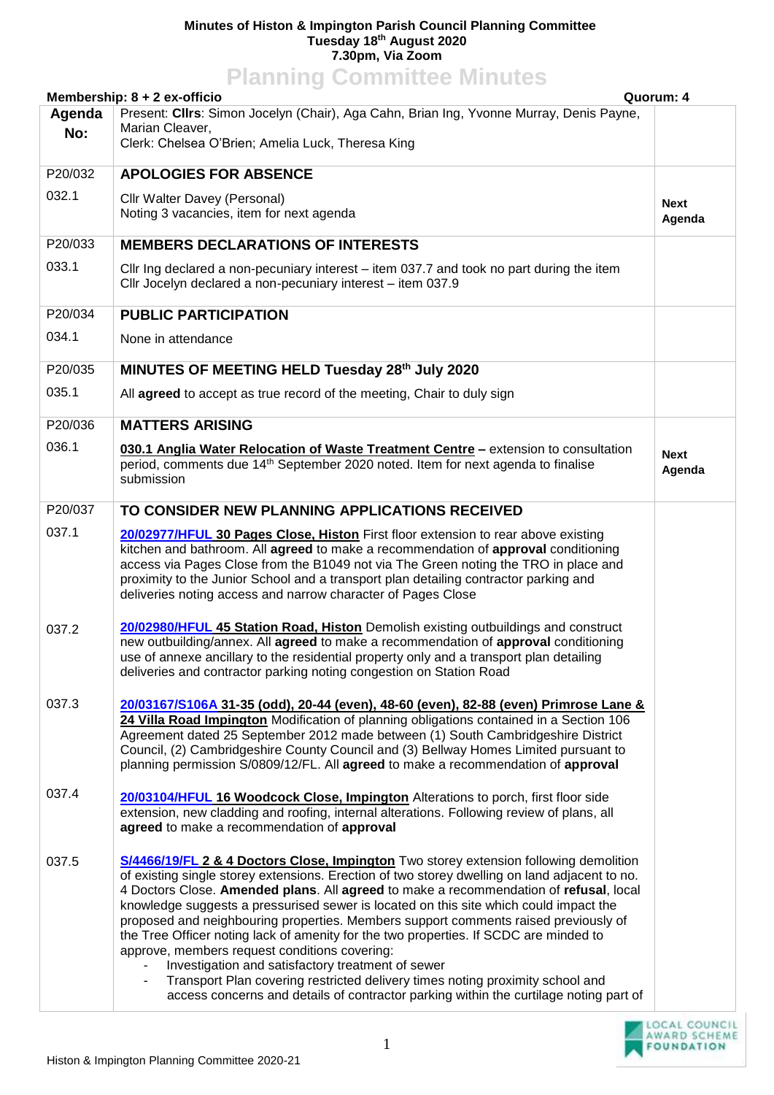## **Minutes of Histon & Impington Parish Council Planning Committee Tuesday 18th August 2020 7.30pm, Via Zoom Planning Committee Minutes**

| Planning Committee Minutes                                                                                                                     |                                                                                                                                                                                                                                                                                                                                                                                                                                                                                                                                                                                                                                                                                                                                                                                                                                                                      |             |  |  |
|------------------------------------------------------------------------------------------------------------------------------------------------|----------------------------------------------------------------------------------------------------------------------------------------------------------------------------------------------------------------------------------------------------------------------------------------------------------------------------------------------------------------------------------------------------------------------------------------------------------------------------------------------------------------------------------------------------------------------------------------------------------------------------------------------------------------------------------------------------------------------------------------------------------------------------------------------------------------------------------------------------------------------|-------------|--|--|
| Membership: 8 + 2 ex-officio<br>Quorum: 4<br>Present: Clirs: Simon Jocelyn (Chair), Aga Cahn, Brian Ing, Yvonne Murray, Denis Payne,<br>Agenda |                                                                                                                                                                                                                                                                                                                                                                                                                                                                                                                                                                                                                                                                                                                                                                                                                                                                      |             |  |  |
| No:                                                                                                                                            | Marian Cleaver,                                                                                                                                                                                                                                                                                                                                                                                                                                                                                                                                                                                                                                                                                                                                                                                                                                                      |             |  |  |
|                                                                                                                                                | Clerk: Chelsea O'Brien; Amelia Luck, Theresa King                                                                                                                                                                                                                                                                                                                                                                                                                                                                                                                                                                                                                                                                                                                                                                                                                    |             |  |  |
| P20/032                                                                                                                                        | <b>APOLOGIES FOR ABSENCE</b>                                                                                                                                                                                                                                                                                                                                                                                                                                                                                                                                                                                                                                                                                                                                                                                                                                         |             |  |  |
| 032.1                                                                                                                                          | Cllr Walter Davey (Personal)                                                                                                                                                                                                                                                                                                                                                                                                                                                                                                                                                                                                                                                                                                                                                                                                                                         | <b>Next</b> |  |  |
|                                                                                                                                                | Noting 3 vacancies, item for next agenda                                                                                                                                                                                                                                                                                                                                                                                                                                                                                                                                                                                                                                                                                                                                                                                                                             | Agenda      |  |  |
| P20/033                                                                                                                                        | <b>MEMBERS DECLARATIONS OF INTERESTS</b>                                                                                                                                                                                                                                                                                                                                                                                                                                                                                                                                                                                                                                                                                                                                                                                                                             |             |  |  |
| 033.1                                                                                                                                          | Cllr Ing declared a non-pecuniary interest – item 037.7 and took no part during the item<br>Cllr Jocelyn declared a non-pecuniary interest - item 037.9                                                                                                                                                                                                                                                                                                                                                                                                                                                                                                                                                                                                                                                                                                              |             |  |  |
| P20/034                                                                                                                                        | <b>PUBLIC PARTICIPATION</b>                                                                                                                                                                                                                                                                                                                                                                                                                                                                                                                                                                                                                                                                                                                                                                                                                                          |             |  |  |
| 034.1                                                                                                                                          | None in attendance                                                                                                                                                                                                                                                                                                                                                                                                                                                                                                                                                                                                                                                                                                                                                                                                                                                   |             |  |  |
| P20/035                                                                                                                                        | MINUTES OF MEETING HELD Tuesday 28th July 2020                                                                                                                                                                                                                                                                                                                                                                                                                                                                                                                                                                                                                                                                                                                                                                                                                       |             |  |  |
| 035.1                                                                                                                                          | All agreed to accept as true record of the meeting, Chair to duly sign                                                                                                                                                                                                                                                                                                                                                                                                                                                                                                                                                                                                                                                                                                                                                                                               |             |  |  |
| P20/036                                                                                                                                        | <b>MATTERS ARISING</b>                                                                                                                                                                                                                                                                                                                                                                                                                                                                                                                                                                                                                                                                                                                                                                                                                                               |             |  |  |
| 036.1                                                                                                                                          | 030.1 Anglia Water Relocation of Waste Treatment Centre - extension to consultation                                                                                                                                                                                                                                                                                                                                                                                                                                                                                                                                                                                                                                                                                                                                                                                  | <b>Next</b> |  |  |
|                                                                                                                                                | period, comments due 14 <sup>th</sup> September 2020 noted. Item for next agenda to finalise<br>submission                                                                                                                                                                                                                                                                                                                                                                                                                                                                                                                                                                                                                                                                                                                                                           | Agenda      |  |  |
| P20/037                                                                                                                                        | TO CONSIDER NEW PLANNING APPLICATIONS RECEIVED                                                                                                                                                                                                                                                                                                                                                                                                                                                                                                                                                                                                                                                                                                                                                                                                                       |             |  |  |
| 037.1                                                                                                                                          | 20/02977/HFUL 30 Pages Close, Histon First floor extension to rear above existing<br>kitchen and bathroom. All agreed to make a recommendation of approval conditioning<br>access via Pages Close from the B1049 not via The Green noting the TRO in place and<br>proximity to the Junior School and a transport plan detailing contractor parking and<br>deliveries noting access and narrow character of Pages Close                                                                                                                                                                                                                                                                                                                                                                                                                                               |             |  |  |
| 037.2                                                                                                                                          | 20/02980/HFUL 45 Station Road, Histon Demolish existing outbuildings and construct<br>new outbuilding/annex. All agreed to make a recommendation of approval conditioning<br>use of annexe ancillary to the residential property only and a transport plan detailing<br>deliveries and contractor parking noting congestion on Station Road                                                                                                                                                                                                                                                                                                                                                                                                                                                                                                                          |             |  |  |
| 037.3                                                                                                                                          | 20/03167/S106A 31-35 (odd), 20-44 (even), 48-60 (even), 82-88 (even) Primrose Lane &<br>24 Villa Road Impington Modification of planning obligations contained in a Section 106<br>Agreement dated 25 September 2012 made between (1) South Cambridgeshire District<br>Council, (2) Cambridgeshire County Council and (3) Bellway Homes Limited pursuant to<br>planning permission S/0809/12/FL. All agreed to make a recommendation of approval                                                                                                                                                                                                                                                                                                                                                                                                                     |             |  |  |
| 037.4                                                                                                                                          | 20/03104/HFUL 16 Woodcock Close, Impington Alterations to porch, first floor side<br>extension, new cladding and roofing, internal alterations. Following review of plans, all<br>agreed to make a recommendation of approval                                                                                                                                                                                                                                                                                                                                                                                                                                                                                                                                                                                                                                        |             |  |  |
| 037.5                                                                                                                                          | S/4466/19/FL 2 & 4 Doctors Close, Impington Two storey extension following demolition<br>of existing single storey extensions. Erection of two storey dwelling on land adjacent to no.<br>4 Doctors Close. Amended plans. All agreed to make a recommendation of refusal, local<br>knowledge suggests a pressurised sewer is located on this site which could impact the<br>proposed and neighbouring properties. Members support comments raised previously of<br>the Tree Officer noting lack of amenity for the two properties. If SCDC are minded to<br>approve, members request conditions covering:<br>Investigation and satisfactory treatment of sewer<br>Transport Plan covering restricted delivery times noting proximity school and<br>$\overline{\phantom{a}}$<br>access concerns and details of contractor parking within the curtilage noting part of |             |  |  |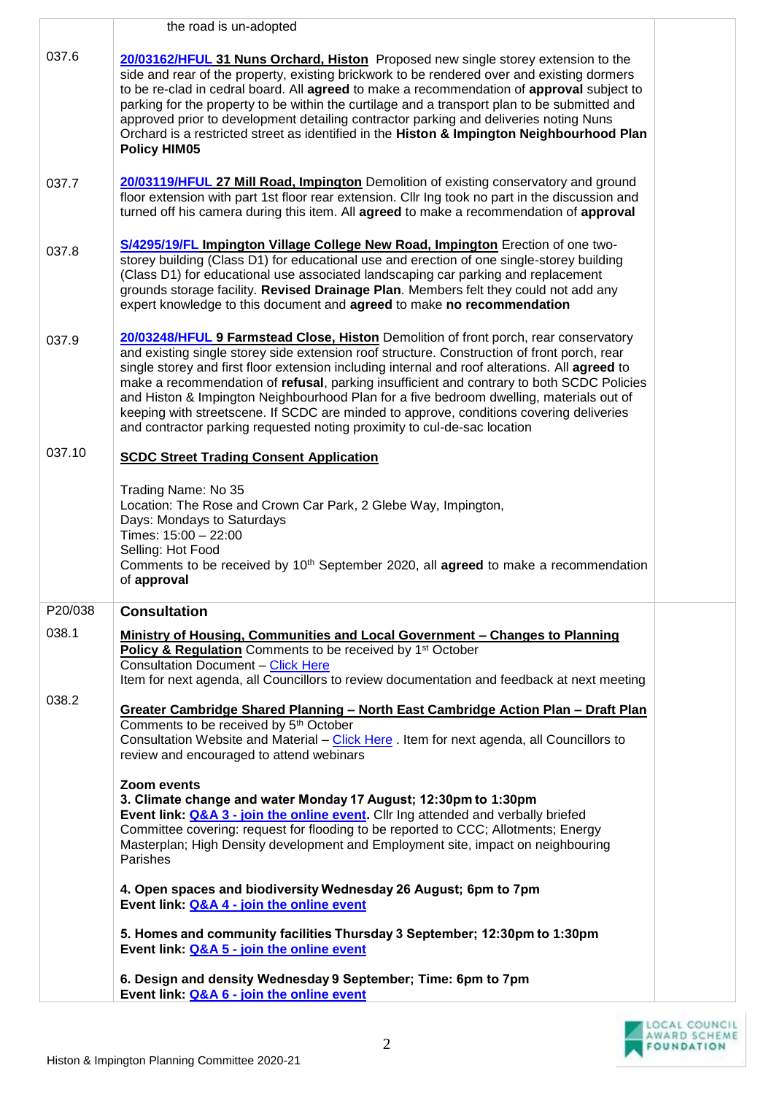|         | the road is un-adopted                                                                                                                                                                                                                                                                                                                                                                                                                                                                                                                                                                                                                               |  |
|---------|------------------------------------------------------------------------------------------------------------------------------------------------------------------------------------------------------------------------------------------------------------------------------------------------------------------------------------------------------------------------------------------------------------------------------------------------------------------------------------------------------------------------------------------------------------------------------------------------------------------------------------------------------|--|
| 037.6   | 20/03162/HFUL 31 Nuns Orchard, Histon Proposed new single storey extension to the<br>side and rear of the property, existing brickwork to be rendered over and existing dormers<br>to be re-clad in cedral board. All agreed to make a recommendation of approval subject to<br>parking for the property to be within the curtilage and a transport plan to be submitted and<br>approved prior to development detailing contractor parking and deliveries noting Nuns<br>Orchard is a restricted street as identified in the Histon & Impington Neighbourhood Plan<br><b>Policy HIM05</b>                                                            |  |
| 037.7   | 20/03119/HFUL 27 Mill Road, Impington Demolition of existing conservatory and ground<br>floor extension with part 1st floor rear extension. Cllr Ing took no part in the discussion and<br>turned off his camera during this item. All agreed to make a recommendation of approval                                                                                                                                                                                                                                                                                                                                                                   |  |
| 037.8   | S/4295/19/FL Impington Village College New Road, Impington Erection of one two-<br>storey building (Class D1) for educational use and erection of one single-storey building<br>(Class D1) for educational use associated landscaping car parking and replacement<br>grounds storage facility. Revised Drainage Plan. Members felt they could not add any<br>expert knowledge to this document and agreed to make no recommendation                                                                                                                                                                                                                  |  |
| 037.9   | 20/03248/HFUL 9 Farmstead Close, Histon Demolition of front porch, rear conservatory<br>and existing single storey side extension roof structure. Construction of front porch, rear<br>single storey and first floor extension including internal and roof alterations. All agreed to<br>make a recommendation of refusal, parking insufficient and contrary to both SCDC Policies<br>and Histon & Impington Neighbourhood Plan for a five bedroom dwelling, materials out of<br>keeping with streetscene. If SCDC are minded to approve, conditions covering deliveries<br>and contractor parking requested noting proximity to cul-de-sac location |  |
| 037.10  | <b>SCDC Street Trading Consent Application</b>                                                                                                                                                                                                                                                                                                                                                                                                                                                                                                                                                                                                       |  |
|         | Trading Name: No 35<br>Location: The Rose and Crown Car Park, 2 Glebe Way, Impington,<br>Days: Mondays to Saturdays<br>Times: 15:00 - 22:00<br>Selling: Hot Food<br>Comments to be received by 10 <sup>th</sup> September 2020, all <b>agreed</b> to make a recommendation<br>of approval                                                                                                                                                                                                                                                                                                                                                            |  |
| P20/038 | <b>Consultation</b>                                                                                                                                                                                                                                                                                                                                                                                                                                                                                                                                                                                                                                  |  |
| 038.1   | <b>Ministry of Housing, Communities and Local Government - Changes to Planning</b><br><b>Policy &amp; Regulation</b> Comments to be received by 1 <sup>st</sup> October<br>Consultation Document - Click Here<br>Item for next agenda, all Councillors to review documentation and feedback at next meeting                                                                                                                                                                                                                                                                                                                                          |  |
| 038.2   | <u><b>Greater Cambridge Shared Planning - North East Cambridge Action Plan - Draft Plan</b></u><br>Comments to be received by 5 <sup>th</sup> October<br>Consultation Website and Material - Click Here . Item for next agenda, all Councillors to<br>review and encouraged to attend webinars                                                                                                                                                                                                                                                                                                                                                       |  |
|         | Zoom events<br>3. Climate change and water Monday 17 August; 12:30pm to 1:30pm<br>Event link: Q&A 3 - join the online event. Cllr Ing attended and verbally briefed<br>Committee covering: request for flooding to be reported to CCC; Allotments; Energy<br>Masterplan; High Density development and Employment site, impact on neighbouring<br>Parishes                                                                                                                                                                                                                                                                                            |  |
|         | 4. Open spaces and biodiversity Wednesday 26 August; 6pm to 7pm<br>Event link: Q&A 4 - join the online event                                                                                                                                                                                                                                                                                                                                                                                                                                                                                                                                         |  |
|         | 5. Homes and community facilities Thursday 3 September; 12:30pm to 1:30pm<br>Event link: Q&A 5 - join the online event                                                                                                                                                                                                                                                                                                                                                                                                                                                                                                                               |  |
|         | 6. Design and density Wednesday 9 September; Time: 6pm to 7pm<br>Event link: Q&A 6 - join the online event                                                                                                                                                                                                                                                                                                                                                                                                                                                                                                                                           |  |